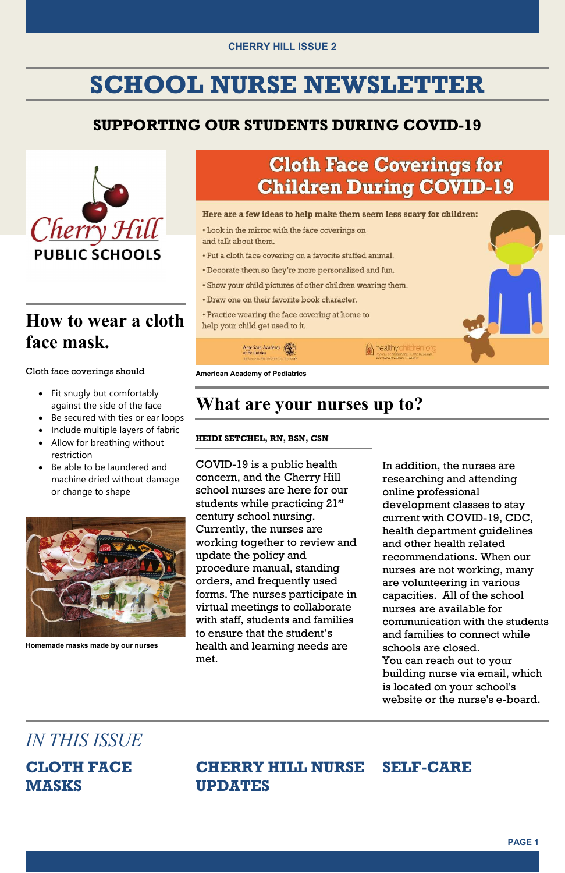#### CHERRY HILL ISSUE 2

## SCHOOL NURSE NEWSLETTER

#### SUPPORTING OUR STUDENTS DURING COVID-19



## How to wear a cloth face mask.

#### Cloth face coverings should American Academy of Pediatrics

- Fit snugly but comfortably against the side of the face
- Be secured with ties or ear loops
- Include multiple layers of fabric
- Allow for breathing without **HEIDI SETCHEL, RN, BSN, CSN** restriction
- Be able to be laundered and machine dried without damage or change to shape



## **Cloth Face Coverings for Children During COVID-19**

Here are a few ideas to help make them seem less scary for children:

- Look in the mirror with the face coverings on and talk about them.
- Put a cloth face covering on a favorite stuffed animal.
- Decorate them so they're more personalized and fun.
- . Show your child pictures of other children wearing them.
- Draw one on their favorite book character.
- Practice wearing the face covering at home to help your child get used to it.

healthy children.org

**American Academy of Pediatrics** 

American Academy<br>of Pediatrics

### against the side of the face **What are your nurses up to?**

Homemade masks made by our nurses

 COVID-19 is a public health concern, and the Cherry Hill school nurses are here for our students while practicing  $21^{\rm st}$  century school nursing. Currently, the nurses are working together to review and update the policy and procedure manual, standing orders, and frequently used forms. The nurses participate in virtual meetings to collaborate with staff, students and families to ensure that the student's health and learning needs are met.

 In addition, the nurses are researching and attending development classes to stay current with COVID-19, CDC, health department guidelines and other health related recommendations. When our nurses are not working, many are volunteering in various capacities. All of the school nurses are available for communication with the students and families to connect while schools are closed. You can reach out to your building nurse via email, which is located on your school's website or the nurse's e-board. online professional

#### CHERRY HILL NURSE SELF-CARE MASKS UPDATES



### IN THIS ISSUE

**CLOTH FACE**